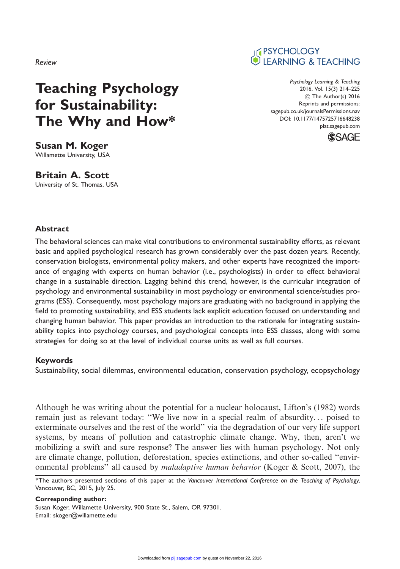# Teaching Psychology for Sustainability: The Why and How\*

Psychology Learning & Teaching 2016, Vol. 15(3) 214–225 C The Author(s) 2016 Reprints and permissions: sagepub.co.uk/journalsPermissions.nav DOI: 10.1177/1475725716648238 plat.sagepub.com



Susan M. Koger Willamette University, USA

Britain A. Scott

University of St. Thomas, USA

# Abstract

The behavioral sciences can make vital contributions to environmental sustainability efforts, as relevant basic and applied psychological research has grown considerably over the past dozen years. Recently, conservation biologists, environmental policy makers, and other experts have recognized the importance of engaging with experts on human behavior (i.e., psychologists) in order to effect behavioral change in a sustainable direction. Lagging behind this trend, however, is the curricular integration of psychology and environmental sustainability in most psychology or environmental science/studies programs (ESS). Consequently, most psychology majors are graduating with no background in applying the field to promoting sustainability, and ESS students lack explicit education focused on understanding and changing human behavior. This paper provides an introduction to the rationale for integrating sustainability topics into psychology courses, and psychological concepts into ESS classes, along with some strategies for doing so at the level of individual course units as well as full courses.

## Keywords

Sustainability, social dilemmas, environmental education, conservation psychology, ecopsychology

Although he was writing about the potential for a nuclear holocaust, Lifton's (1982) words remain just as relevant today: ''We live now in a special realm of absurdity... poised to exterminate ourselves and the rest of the world'' via the degradation of our very life support systems, by means of pollution and catastrophic climate change. Why, then, aren't we mobilizing a swift and sure response? The answer lies with human psychology. Not only are climate change, pollution, deforestation, species extinctions, and other so-called ''environmental problems'' all caused by maladaptive human behavior (Koger & Scott, 2007), the

\*The authors presented sections of this paper at the Vancouver International Conference on the Teaching of Psychology, Vancouver, BC, 2015, July 25.

Corresponding author: Susan Koger, Willamette University, 900 State St., Salem, OR 97301. Email: skoger@willamette.edu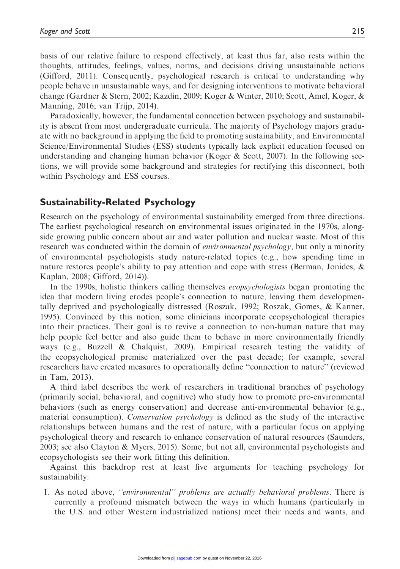basis of our relative failure to respond effectively, at least thus far, also rests within the thoughts, attitudes, feelings, values, norms, and decisions driving unsustainable actions (Gifford, 2011). Consequently, psychological research is critical to understanding why people behave in unsustainable ways, and for designing interventions to motivate behavioral change (Gardner & Stern, 2002; Kazdin, 2009; Koger & Winter, 2010; Scott, Amel, Koger, & Manning, 2016; van Trijp, 2014).

Paradoxically, however, the fundamental connection between psychology and sustainability is absent from most undergraduate curricula. The majority of Psychology majors graduate with no background in applying the field to promoting sustainability, and Environmental Science/Environmental Studies (ESS) students typically lack explicit education focused on understanding and changing human behavior (Koger & Scott, 2007). In the following sections, we will provide some background and strategies for rectifying this disconnect, both within Psychology and ESS courses.

## Sustainability-Related Psychology

Research on the psychology of environmental sustainability emerged from three directions. The earliest psychological research on environmental issues originated in the 1970s, alongside growing public concern about air and water pollution and nuclear waste. Most of this research was conducted within the domain of *environmental psychology*, but only a minority of environmental psychologists study nature-related topics (e.g., how spending time in nature restores people's ability to pay attention and cope with stress (Berman, Jonides, & Kaplan, 2008; Gifford, 2014)).

In the 1990s, holistic thinkers calling themselves *ecopsychologists* began promoting the idea that modern living erodes people's connection to nature, leaving them developmentally deprived and psychologically distressed (Roszak, 1992; Roszak, Gomes, & Kanner, 1995). Convinced by this notion, some clinicians incorporate ecopsychological therapies into their practices. Their goal is to revive a connection to non-human nature that may help people feel better and also guide them to behave in more environmentally friendly ways (e.g., Buzzell & Chalquist, 2009). Empirical research testing the validity of the ecopsychological premise materialized over the past decade; for example, several researchers have created measures to operationally define ''connection to nature'' (reviewed in Tam, 2013).

A third label describes the work of researchers in traditional branches of psychology (primarily social, behavioral, and cognitive) who study how to promote pro-environmental behaviors (such as energy conservation) and decrease anti-environmental behavior (e.g., material consumption). Conservation psychology is defined as the study of the interactive relationships between humans and the rest of nature, with a particular focus on applying psychological theory and research to enhance conservation of natural resources (Saunders, 2003; see also Clayton & Myers, 2015). Some, but not all, environmental psychologists and ecopsychologists see their work fitting this definition.

Against this backdrop rest at least five arguments for teaching psychology for sustainability:

1. As noted above, "environmental" problems are actually behavioral problems. There is currently a profound mismatch between the ways in which humans (particularly in the U.S. and other Western industrialized nations) meet their needs and wants, and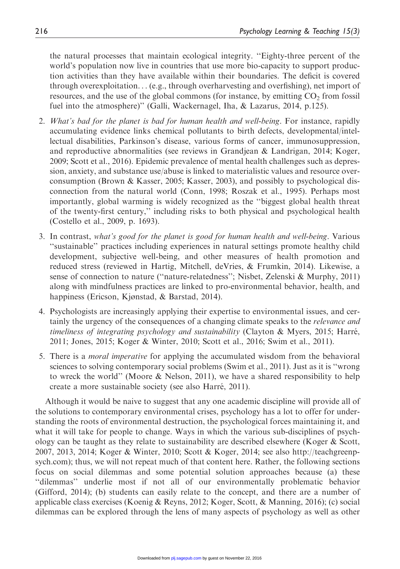the natural processes that maintain ecological integrity. ''Eighty-three percent of the world's population now live in countries that use more bio-capacity to support production activities than they have available within their boundaries. The deficit is covered through overexploitation... (e.g., through overharvesting and overfishing), net import of resources, and the use of the global commons (for instance, by emitting  $CO<sub>2</sub>$  from fossil fuel into the atmosphere)'' (Galli, Wackernagel, Iha, & Lazarus, 2014, p.125).

- 2. What's bad for the planet is bad for human health and well-being. For instance, rapidly accumulating evidence links chemical pollutants to birth defects, developmental/intellectual disabilities, Parkinson's disease, various forms of cancer, immunosuppression, and reproductive abnormalities (see reviews in Grandjean & Landrigan, 2014; Koger, 2009; Scott et al., 2016). Epidemic prevalence of mental health challenges such as depression, anxiety, and substance use/abuse is linked to materialistic values and resource overconsumption (Brown & Kasser, 2005; Kasser, 2003), and possibly to psychological disconnection from the natural world (Conn, 1998; Roszak et al., 1995). Perhaps most importantly, global warming is widely recognized as the ''biggest global health threat of the twenty-first century,'' including risks to both physical and psychological health (Costello et al., 2009, p. 1693).
- 3. In contrast, what's good for the planet is good for human health and well-being. Various ''sustainable'' practices including experiences in natural settings promote healthy child development, subjective well-being, and other measures of health promotion and reduced stress (reviewed in Hartig, Mitchell, deVries, & Frumkin, 2014). Likewise, a sense of connection to nature (''nature-relatedness''; Nisbet, Zelenski & Murphy, 2011) along with mindfulness practices are linked to pro-environmental behavior, health, and happiness (Ericson, Kjønstad, & Barstad, 2014).
- 4. Psychologists are increasingly applying their expertise to environmental issues, and certainly the urgency of the consequences of a changing climate speaks to the relevance and timeliness of integrating psychology and sustainability (Clayton  $\&$  Myers, 2015; Harré, 2011; Jones, 2015; Koger & Winter, 2010; Scott et al., 2016; Swim et al., 2011).
- 5. There is a moral imperative for applying the accumulated wisdom from the behavioral sciences to solving contemporary social problems (Swim et al., 2011). Just as it is ''wrong to wreck the world'' (Moore & Nelson, 2011), we have a shared responsibility to help create a more sustainable society (see also Harré, 2011).

Although it would be naive to suggest that any one academic discipline will provide all of the solutions to contemporary environmental crises, psychology has a lot to offer for understanding the roots of environmental destruction, the psychological forces maintaining it, and what it will take for people to change. Ways in which the various sub-disciplines of psychology can be taught as they relate to sustainability are described elsewhere (Koger & Scott, 2007, 2013, 2014; Koger & Winter, 2010; Scott & Koger, 2014; see also http://teachgreenpsych.com); thus, we will not repeat much of that content here. Rather, the following sections focus on social dilemmas and some potential solution approaches because (a) these ''dilemmas'' underlie most if not all of our environmentally problematic behavior (Gifford, 2014); (b) students can easily relate to the concept, and there are a number of applicable class exercises (Koenig & Reyns, 2012; Koger, Scott, & Manning, 2016); (c) social dilemmas can be explored through the lens of many aspects of psychology as well as other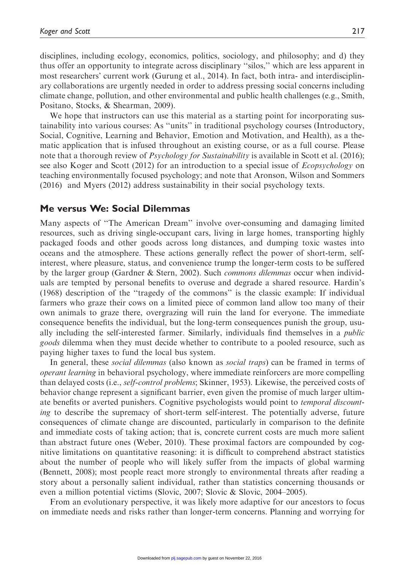disciplines, including ecology, economics, politics, sociology, and philosophy; and d) they thus offer an opportunity to integrate across disciplinary ''silos,'' which are less apparent in most researchers' current work (Gurung et al., 2014). In fact, both intra- and interdisciplinary collaborations are urgently needed in order to address pressing social concerns including climate change, pollution, and other environmental and public health challenges (e.g., Smith, Positano, Stocks, & Shearman, 2009).

We hope that instructors can use this material as a starting point for incorporating sustainability into various courses: As ''units'' in traditional psychology courses (Introductory, Social, Cognitive, Learning and Behavior, Emotion and Motivation, and Health), as a thematic application that is infused throughout an existing course, or as a full course. Please note that a thorough review of *Psychology for Sustainability* is available in Scott et al. (2016); see also Koger and Scott (2012) for an introduction to a special issue of *Ecopsychology* on teaching environmentally focused psychology; and note that Aronson, Wilson and Sommers (2016) and Myers (2012) address sustainability in their social psychology texts.

## Me versus We: Social Dilemmas

Many aspects of ''The American Dream'' involve over-consuming and damaging limited resources, such as driving single-occupant cars, living in large homes, transporting highly packaged foods and other goods across long distances, and dumping toxic wastes into oceans and the atmosphere. These actions generally reflect the power of short-term, selfinterest, where pleasure, status, and convenience trump the longer-term costs to be suffered by the larger group (Gardner & Stern, 2002). Such commons dilemmas occur when individuals are tempted by personal benefits to overuse and degrade a shared resource. Hardin's (1968) description of the ''tragedy of the commons'' is the classic example: If individual farmers who graze their cows on a limited piece of common land allow too many of their own animals to graze there, overgrazing will ruin the land for everyone. The immediate consequence benefits the individual, but the long-term consequences punish the group, usually including the self-interested farmer. Similarly, individuals find themselves in a public goods dilemma when they must decide whether to contribute to a pooled resource, such as paying higher taxes to fund the local bus system.

In general, these *social dilemmas* (also known as *social traps*) can be framed in terms of operant learning in behavioral psychology, where immediate reinforcers are more compelling than delayed costs (i.e., self-control problems; Skinner, 1953). Likewise, the perceived costs of behavior change represent a significant barrier, even given the promise of much larger ultimate benefits or averted punishers. Cognitive psychologists would point to temporal discounting to describe the supremacy of short-term self-interest. The potentially adverse, future consequences of climate change are discounted, particularly in comparison to the definite and immediate costs of taking action; that is, concrete current costs are much more salient than abstract future ones (Weber, 2010). These proximal factors are compounded by cognitive limitations on quantitative reasoning: it is difficult to comprehend abstract statistics about the number of people who will likely suffer from the impacts of global warming (Bennett, 2008); most people react more strongly to environmental threats after reading a story about a personally salient individual, rather than statistics concerning thousands or even a million potential victims (Slovic, 2007; Slovic & Slovic, 2004–2005).

From an evolutionary perspective, it was likely more adaptive for our ancestors to focus on immediate needs and risks rather than longer-term concerns. Planning and worrying for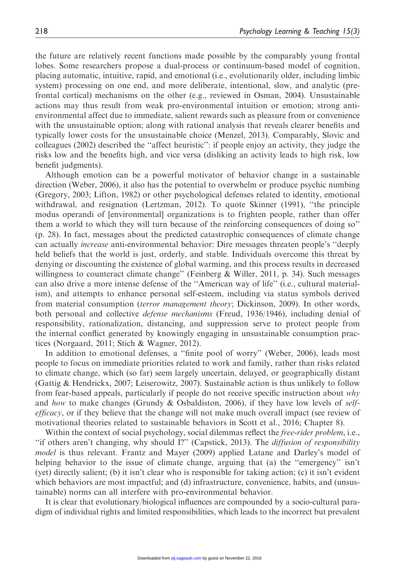the future are relatively recent functions made possible by the comparably young frontal lobes. Some researchers propose a dual-process or continuum-based model of cognition, placing automatic, intuitive, rapid, and emotional (i.e., evolutionarily older, including limbic system) processing on one end, and more deliberate, intentional, slow, and analytic (prefrontal cortical) mechanisms on the other (e.g., reviewed in Osman, 2004). Unsustainable actions may thus result from weak pro-environmental intuition or emotion; strong antienvironmental affect due to immediate, salient rewards such as pleasure from or convenience with the unsustainable option; along with rational analysis that reveals clearer benefits and typically lower costs for the unsustainable choice (Menzel, 2013). Comparably, Slovic and colleagues (2002) described the ''affect heuristic'': if people enjoy an activity, they judge the risks low and the benefits high, and vice versa (disliking an activity leads to high risk, low benefit judgments).

Although emotion can be a powerful motivator of behavior change in a sustainable direction (Weber, 2006), it also has the potential to overwhelm or produce psychic numbing (Gregory, 2003; Lifton, 1982) or other psychological defenses related to identity, emotional withdrawal, and resignation (Lertzman, 2012). To quote Skinner (1991), ''the principle modus operandi of [environmental] organizations is to frighten people, rather than offer them a world to which they will turn because of the reinforcing consequences of doing so'' (p. 28). In fact, messages about the predicted catastrophic consequences of climate change can actually increase anti-environmental behavior: Dire messages threaten people's ''deeply held beliefs that the world is just, orderly, and stable. Individuals overcome this threat by denying or discounting the existence of global warming, and this process results in decreased willingness to counteract climate change'' (Feinberg & Willer, 2011, p. 34). Such messages can also drive a more intense defense of the ''American way of life'' (i.e., cultural materialism), and attempts to enhance personal self-esteem, including via status symbols derived from material consumption (terror management theory; Dickinson, 2009). In other words, both personal and collective defense mechanisms (Freud, 1936/1946), including denial of responsibility, rationalization, distancing, and suppression serve to protect people from the internal conflict generated by knowingly engaging in unsustainable consumption practices (Norgaard, 2011; Stich & Wagner, 2012).

In addition to emotional defenses, a ''finite pool of worry'' (Weber, 2006), leads most people to focus on immediate priorities related to work and family, rather than risks related to climate change, which (so far) seem largely uncertain, delayed, or geographically distant (Gattig & Hendrickx, 2007; Leiserowitz, 2007). Sustainable action is thus unlikely to follow from fear-based appeals, particularly if people do not receive specific instruction about why and how to make changes (Grundy & Osbaldiston, 2006), if they have low levels of selfefficacy, or if they believe that the change will not make much overall impact (see review of motivational theories related to sustainable behaviors in Scott et al., 2016; Chapter 8).

Within the context of social psychology, social dilemmas reflect the *free-rider problem*, i.e., ''if others aren't changing, why should I?'' (Capstick, 2013). The diffusion of responsibility model is thus relevant. Frantz and Mayer (2009) applied Latane and Darley's model of helping behavior to the issue of climate change, arguing that (a) the "emergency" isn't (yet) directly salient; (b) it isn't clear who is responsible for taking action; (c) it isn't evident which behaviors are most impactful; and (d) infrastructure, convenience, habits, and (unsustainable) norms can all interfere with pro-environmental behavior.

It is clear that evolutionary/biological influences are compounded by a socio-cultural paradigm of individual rights and limited responsibilities, which leads to the incorrect but prevalent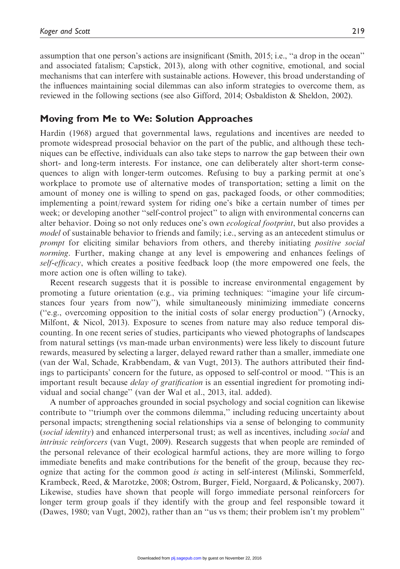assumption that one person's actions are insignificant (Smith, 2015; i.e., ''a drop in the ocean'' and associated fatalism; Capstick, 2013), along with other cognitive, emotional, and social mechanisms that can interfere with sustainable actions. However, this broad understanding of the influences maintaining social dilemmas can also inform strategies to overcome them, as reviewed in the following sections (see also Gifford, 2014; Osbaldiston & Sheldon, 2002).

# Moving from Me to We: Solution Approaches

Hardin (1968) argued that governmental laws, regulations and incentives are needed to promote widespread prosocial behavior on the part of the public, and although these techniques can be effective, individuals can also take steps to narrow the gap between their own short- and long-term interests. For instance, one can deliberately alter short-term consequences to align with longer-term outcomes. Refusing to buy a parking permit at one's workplace to promote use of alternative modes of transportation; setting a limit on the amount of money one is willing to spend on gas, packaged foods, or other commodities; implementing a point/reward system for riding one's bike a certain number of times per week; or developing another ''self-control project'' to align with environmental concerns can alter behavior. Doing so not only reduces one's own *ecological footprint*, but also provides a *model* of sustainable behavior to friends and family; i.e., serving as an antecedent stimulus or prompt for eliciting similar behaviors from others, and thereby initiating *positive social* norming. Further, making change at any level is empowering and enhances feelings of self-efficacy, which creates a positive feedback loop (the more empowered one feels, the more action one is often willing to take).

Recent research suggests that it is possible to increase environmental engagement by promoting a future orientation (e.g., via priming techniques: ''imagine your life circumstances four years from now''), while simultaneously minimizing immediate concerns (''e.g., overcoming opposition to the initial costs of solar energy production'') (Arnocky, Milfont, & Nicol, 2013). Exposure to scenes from nature may also reduce temporal discounting. In one recent series of studies, participants who viewed photographs of landscapes from natural settings (vs man-made urban environments) were less likely to discount future rewards, measured by selecting a larger, delayed reward rather than a smaller, immediate one (van der Wal, Schade, Krabbendam, & van Vugt, 2013). The authors attributed their findings to participants' concern for the future, as opposed to self-control or mood. ''This is an important result because *delay of gratification* is an essential ingredient for promoting individual and social change'' (van der Wal et al., 2013, ital. added).

A number of approaches grounded in social psychology and social cognition can likewise contribute to ''triumph over the commons dilemma,'' including reducing uncertainty about personal impacts; strengthening social relationships via a sense of belonging to community (social identity) and enhanced interpersonal trust; as well as incentives, including social and intrinsic reinforcers (van Vugt, 2009). Research suggests that when people are reminded of the personal relevance of their ecological harmful actions, they are more willing to forgo immediate benefits and make contributions for the benefit of the group, because they recognize that acting for the common good is acting in self-interest (Milinski, Sommerfeld, Krambeck, Reed, & Marotzke, 2008; Ostrom, Burger, Field, Norgaard, & Policansky, 2007). Likewise, studies have shown that people will forgo immediate personal reinforcers for longer term group goals if they identify with the group and feel responsible toward it (Dawes, 1980; van Vugt, 2002), rather than an ''us vs them; their problem isn't my problem''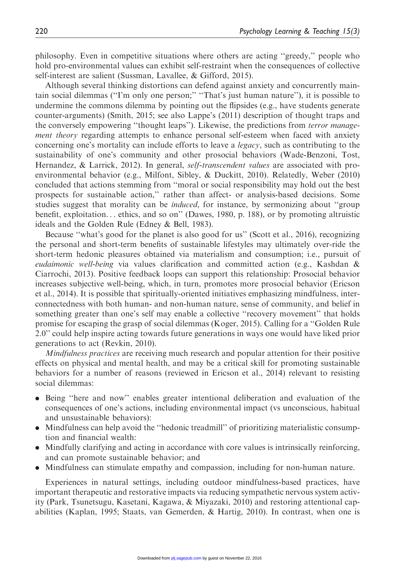philosophy. Even in competitive situations where others are acting ''greedy,'' people who hold pro-environmental values can exhibit self-restraint when the consequences of collective self-interest are salient (Sussman, Lavallee, & Gifford, 2015).

Although several thinking distortions can defend against anxiety and concurrently maintain social dilemmas (''I'm only one person;'' ''That's just human nature''), it is possible to undermine the commons dilemma by pointing out the flipsides (e.g., have students generate counter-arguments) (Smith, 2015; see also Lappe's (2011) description of thought traps and the conversely empowering "thought leaps"). Likewise, the predictions from terror management theory regarding attempts to enhance personal self-esteem when faced with anxiety concerning one's mortality can include efforts to leave a legacy, such as contributing to the sustainability of one's community and other prosocial behaviors (Wade-Benzoni, Tost, Hernandez, & Larrick, 2012). In general, self-transcendent values are associated with proenvironmental behavior (e.g., Milfont, Sibley, & Duckitt, 2010). Relatedly, Weber (2010) concluded that actions stemming from ''moral or social responsibility may hold out the best prospects for sustainable action,'' rather than affect- or analysis-based decisions. Some studies suggest that morality can be *induced*, for instance, by sermonizing about "group benefit, exploitation... ethics, and so on'' (Dawes, 1980, p. 188), or by promoting altruistic ideals and the Golden Rule (Edney & Bell, 1983).

Because ''what's good for the planet is also good for us'' (Scott et al., 2016), recognizing the personal and short-term benefits of sustainable lifestyles may ultimately over-ride the short-term hedonic pleasures obtained via materialism and consumption; i.e., pursuit of eudaimonic well-being via values clarification and committed action (e.g., Kashdan & Ciarrochi, 2013). Positive feedback loops can support this relationship: Prosocial behavior increases subjective well-being, which, in turn, promotes more prosocial behavior (Ericson et al., 2014). It is possible that spiritually-oriented initiatives emphasizing mindfulness, interconnectedness with both human- and non-human nature, sense of community, and belief in something greater than one's self may enable a collective ''recovery movement'' that holds promise for escaping the grasp of social dilemmas (Koger, 2015). Calling for a ''Golden Rule 2.0'' could help inspire acting towards future generations in ways one would have liked prior generations to act (Revkin, 2010).

Mindfulness practices are receiving much research and popular attention for their positive effects on physical and mental health, and may be a critical skill for promoting sustainable behaviors for a number of reasons (reviewed in Ericson et al., 2014) relevant to resisting social dilemmas:

- . Being ''here and now'' enables greater intentional deliberation and evaluation of the consequences of one's actions, including environmental impact (vs unconscious, habitual and unsustainable behaviors):
- . Mindfulness can help avoid the ''hedonic treadmill'' of prioritizing materialistic consumption and financial wealth:
- . Mindfully clarifying and acting in accordance with core values is intrinsically reinforcing, and can promote sustainable behavior; and
- . Mindfulness can stimulate empathy and compassion, including for non-human nature.

Experiences in natural settings, including outdoor mindfulness-based practices, have important therapeutic and restorative impacts via reducing sympathetic nervous system activity (Park, Tsunetsugu, Kasetani, Kagawa, & Miyazaki, 2010) and restoring attentional capabilities (Kaplan, 1995; Staats, van Gemerden, & Hartig, 2010). In contrast, when one is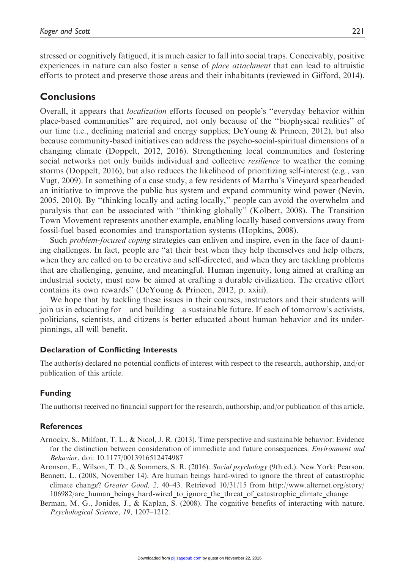stressed or cognitively fatigued, it is much easier to fall into social traps. Conceivably, positive experiences in nature can also foster a sense of *place attachment* that can lead to altruistic efforts to protect and preserve those areas and their inhabitants (reviewed in Gifford, 2014).

## **Conclusions**

Overall, it appears that localization efforts focused on people's ''everyday behavior within place-based communities'' are required, not only because of the ''biophysical realities'' of our time (i.e., declining material and energy supplies; DeYoung  $&$  Princen, 2012), but also because community-based initiatives can address the psycho-social-spiritual dimensions of a changing climate (Doppelt, 2012, 2016). Strengthening local communities and fostering social networks not only builds individual and collective *resilience* to weather the coming storms (Doppelt, 2016), but also reduces the likelihood of prioritizing self-interest (e.g., van Vugt, 2009). In something of a case study, a few residents of Martha's Vineyard spearheaded an initiative to improve the public bus system and expand community wind power (Nevin, 2005, 2010). By ''thinking locally and acting locally,'' people can avoid the overwhelm and paralysis that can be associated with ''thinking globally'' (Kolbert, 2008). The Transition Town Movement represents another example, enabling locally based conversions away from fossil-fuel based economies and transportation systems (Hopkins, 2008).

Such problem-focused coping strategies can enliven and inspire, even in the face of daunting challenges. In fact, people are ''at their best when they help themselves and help others, when they are called on to be creative and self-directed, and when they are tackling problems that are challenging, genuine, and meaningful. Human ingenuity, long aimed at crafting an industrial society, must now be aimed at crafting a durable civilization. The creative effort contains its own rewards'' (DeYoung & Princen, 2012, p. xxiii).

We hope that by tackling these issues in their courses, instructors and their students will join us in educating for – and building – a sustainable future. If each of tomorrow's activists, politicians, scientists, and citizens is better educated about human behavior and its underpinnings, all will benefit.

#### Declaration of Conflicting Interests

The author(s) declared no potential conflicts of interest with respect to the research, authorship, and/or publication of this article.

#### Funding

The author(s) received no financial support for the research, authorship, and/or publication of this article.

#### References

Arnocky, S., Milfont, T. L., & Nicol, J. R. (2013). Time perspective and sustainable behavior: Evidence for the distinction between consideration of immediate and future consequences. Environment and Behavior. doi: 10.1177/0013916512474987

Aronson, E., Wilson, T. D., & Sommers, S. R. (2016). Social psychology (9th ed.). New York: Pearson.

Bennett, L. (2008, November 14). Are human beings hard-wired to ignore the threat of catastrophic climate change? Greater Good, 2, 40–43. Retrieved 10/31/15 from http://www.alternet.org/story/ 106982/are human beings hard-wired to ignore the threat of catastrophic climate change

Berman, M. G., Jonides, J., & Kaplan, S. (2008). The cognitive benefits of interacting with nature. Psychological Science, 19, 1207–1212.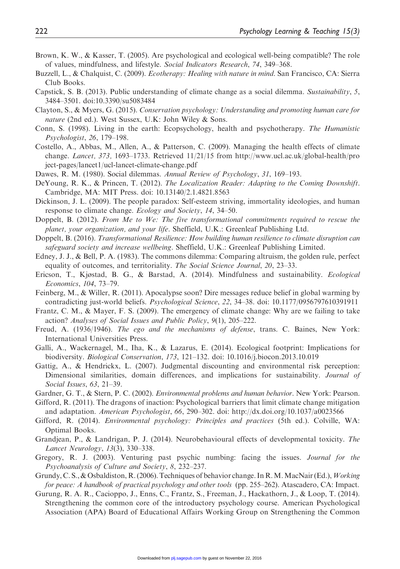- Brown, K. W., & Kasser, T. (2005). Are psychological and ecological well-being compatible? The role of values, mindfulness, and lifestyle. Social Indicators Research, 74, 349–368.
- Buzzell, L., & Chalquist, C. (2009). *Ecotherapy: Healing with nature in mind*. San Francisco, CA: Sierra Club Books.
- Capstick, S. B. (2013). Public understanding of climate change as a social dilemma. Sustainability, 5, 3484–3501. doi:10.3390/su5083484
- Clayton, S., & Myers, G. (2015). Conservation psychology: Understanding and promoting human care for nature (2nd ed.). West Sussex, U.K: John Wiley & Sons.
- Conn, S. (1998). Living in the earth: Ecopsychology, health and psychotherapy. The Humanistic Psychologist, 26, 179–198.
- Costello, A., Abbas, M., Allen, A., & Patterson, C. (2009). Managing the health effects of climate change. Lancet, 373, 1693–1733. Retrieved 11/21/15 from http://www.ucl.ac.uk/global-health/pro ject-pages/lancet1/ucl-lancet-climate-change.pdf
- Dawes, R. M. (1980). Social dilemmas. Annual Review of Psychology, 31, 169–193.
- DeYoung, R. K., & Princen, T. (2012). The Localization Reader: Adapting to the Coming Downshift. Cambridge, MA: MIT Press. doi: 10.13140/2.1.4821.8563
- Dickinson, J. L. (2009). The people paradox: Self-esteem striving, immortality ideologies, and human response to climate change. Ecology and Society, 14, 34–50.
- Doppelt, B. (2012). From Me to We: The five transformational commitments required to rescue the planet, your organization, and your life. Sheffield, U.K.: Greenleaf Publishing Ltd.
- Doppelt, B. (2016). Transformational Resilience: How building human resilience to climate disruption can safeguard society and increase wellbeing. Sheffield, U.K.: Greenleaf Publishing Limited.
- Edney, J. J., & Bell, P. A. (1983). The commons dilemma: Comparing altruism, the golden rule, perfect equality of outcomes, and territoriality. The Social Science Journal, 20, 23-33.
- Ericson, T., Kjøstad, B. G., & Barstad, A. (2014). Mindfulness and sustainability. Ecological Economics, 104, 73–79.
- Feinberg, M., & Willer, R. (2011). Apocalypse soon? Dire messages reduce belief in global warming by contradicting just-world beliefs. Psychological Science, 22, 34–38. doi: 10.1177/0956797610391911
- Frantz, C. M., & Mayer, F. S. (2009). The emergency of climate change: Why are we failing to take action? Analyses of Social Issues and Public Policy, 9(1), 205–222.
- Freud, A. (1936/1946). The ego and the mechanisms of defense, trans. C. Baines, New York: International Universities Press.
- Galli, A., Wackernagel, M., Iha, K., & Lazarus, E. (2014). Ecological footprint: Implications for biodiversity. Biological Conservation, 173, 121–132. doi: 10.1016/j.biocon.2013.10.019
- Gattig, A., & Hendrickx, L. (2007). Judgmental discounting and environmental risk perception: Dimensional similarities, domain differences, and implications for sustainability. Journal of Social Issues, 63, 21–39.
- Gardner, G. T., & Stern, P. C. (2002). Environmental problems and human behavior. New York: Pearson.
- Gifford, R. (2011). The dragons of inaction: Psychological barriers that limit climate change mitigation and adaptation. American Psychologist, 66, 290–302. doi: http://dx.doi.org/10.1037/a0023566
- Gifford, R. (2014). Environmental psychology: Principles and practices (5th ed.). Colville, WA: Optimal Books.
- Grandjean, P., & Landrigan, P. J. (2014). Neurobehavioural effects of developmental toxicity. The Lancet Neurology, 13(3), 330–338.
- Gregory, R. J. (2003). Venturing past psychic numbing: facing the issues. Journal for the Psychoanalysis of Culture and Society, 8, 232–237.
- Grundy, C. S., & Osbaldiston, R. (2006). Techniques of behavior change. In R. M. MacNair (Ed.), Working for peace: A handbook of practical psychology and other tools (pp. 255–262). Atascadero, CA: Impact.
- Gurung, R. A. R., Cacioppo, J., Enns, C., Frantz, S., Freeman, J., Hackathorn, J., & Loop, T. (2014). Strengthening the common core of the introductory psychology course. American Psychological Association (APA) Board of Educational Affairs Working Group on Strengthening the Common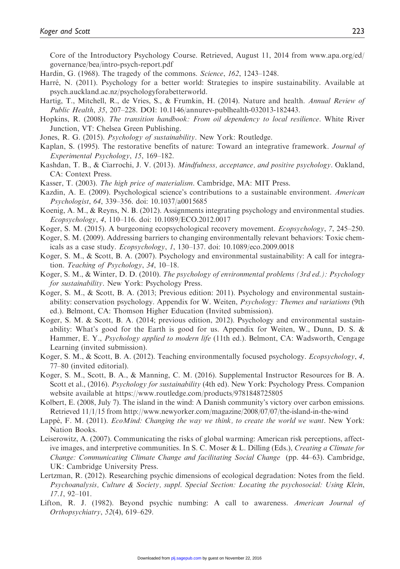Core of the Introductory Psychology Course. Retrieved, August 11, 2014 from www.apa.org/ed/ governance/bea/intro-psych-report.pdf

Hardin, G. (1968). The tragedy of the commons. Science, 162, 1243–1248.

- Harré, N. (2011). Psychology for a better world: Strategies to inspire sustainability. Available at psych.auckland.ac.nz/psychologyforabetterworld.
- Hartig, T., Mitchell, R., de Vries, S., & Frumkin, H. (2014). Nature and health. Annual Review of Public Health, 35, 207–228. DOI: 10.1146/annurev-publhealth-032013-182443.
- Hopkins, R. (2008). The transition handbook: From oil dependency to local resilience. White River Junction, VT: Chelsea Green Publishing.
- Jones, R. G. (2015). *Psychology of sustainability*. New York: Routledge.
- Kaplan, S. (1995). The restorative benefits of nature: Toward an integrative framework. Journal of Experimental Psychology, 15, 169–182.
- Kashdan, T. B., & Ciarrochi, J. V. (2013). Mindfulness, acceptance, and positive psychology. Oakland, CA: Context Press.
- Kasser, T. (2003). The high price of materialism. Cambridge, MA: MIT Press.
- Kazdin, A. E. (2009). Psychological science's contributions to a sustainable environment. American Psychologist, 64, 339–356. doi: 10.1037/a0015685
- Koenig, A. M., & Reyns, N. B. (2012). Assignments integrating psychology and environmental studies. Ecopsychology, 4, 110–116. doi: 10.1089/ECO.2012.0017
- Koger, S. M. (2015). A burgeoning ecopsychological recovery movement. Ecopsychology, 7, 245–250.
- Koger, S. M. (2009). Addressing barriers to changing environmentally relevant behaviors: Toxic chemicals as a case study. Ecopsychology, 1, 130–137. doi: 10.1089/eco.2009.0018
- Koger, S. M., & Scott, B. A. (2007). Psychology and environmental sustainability: A call for integration. Teaching of Psychology, 34, 10–18.
- Koger, S. M., & Winter, D. D. (2010). The psychology of environmental problems (3rd ed.): Psychology for sustainability. New York: Psychology Press.
- Koger, S. M., & Scott, B. A. (2013; Previous edition: 2011). Psychology and environmental sustainability: conservation psychology. Appendix for W. Weiten, Psychology: Themes and variations (9th ed.). Belmont, CA: Thomson Higher Education (Invited submission).
- Koger, S. M. & Scott, B. A. (2014; previous edition, 2012). Psychology and environmental sustainability: What's good for the Earth is good for us. Appendix for Weiten, W., Dunn, D. S. & Hammer, E. Y., Psychology applied to modern life (11th ed.). Belmont, CA: Wadsworth, Cengage Learning (invited submission).
- Koger, S. M., & Scott, B. A. (2012). Teaching environmentally focused psychology. Ecopsychology, 4, 77–80 (invited editorial).
- Koger, S. M., Scott, B. A., & Manning, C. M. (2016). Supplemental Instructor Resources for B. A. Scott et al., (2016). *Psychology for sustainability* (4th ed). New York: Psychology Press. Companion website available at https://www.routledge.com/products/9781848725805
- Kolbert, E. (2008, July 7). The island in the wind: A Danish community's victory over carbon emissions. Retrieved 11/1/15 from http://www.newyorker.com/magazine/2008/07/07/the-island-in-the-wind
- Lappé, F. M. (2011). *EcoMind: Changing the way we think, to create the world we want.* New York: Nation Books.
- Leiserowitz, A. (2007). Communicating the risks of global warming: American risk perceptions, affective images, and interpretive communities. In S. C. Moser & L. Dilling (Eds.), Creating a Climate for Change: Communicating Climate Change and facilitating Social Change (pp. 44–63). Cambridge, UK: Cambridge University Press.
- Lertzman, R. (2012). Researching psychic dimensions of ecological degradation: Notes from the field. Psychoanalysis, Culture & Society, suppl. Special Section: Locating the psychosocial: Using Klein, 17.1, 92–101.
- Lifton, R. J. (1982). Beyond psychic numbing: A call to awareness. American Journal of Orthopsychiatry, 52(4), 619–629.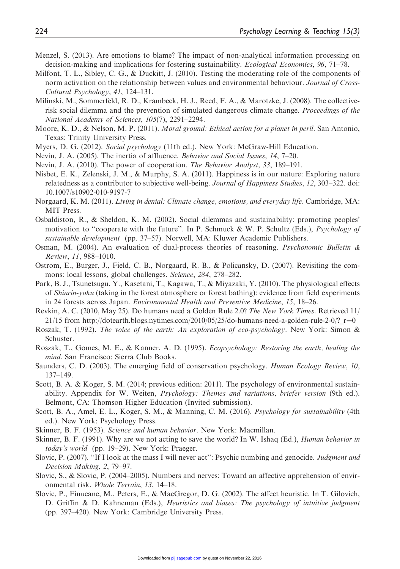- Menzel, S. (2013). Are emotions to blame? The impact of non-analytical information processing on decision-making and implications for fostering sustainability. Ecological Economics, 96, 71–78.
- Milfont, T. L., Sibley, C. G., & Duckitt, J. (2010). Testing the moderating role of the components of norm activation on the relationship between values and environmental behaviour. Journal of Cross-Cultural Psychology, 41, 124–131.
- Milinski, M., Sommerfeld, R. D., Krambeck, H. J., Reed, F. A., & Marotzke, J. (2008). The collectiverisk social dilemma and the prevention of simulated dangerous climate change. Proceedings of the National Academy of Sciences, 105(7), 2291–2294.
- Moore, K. D., & Nelson, M. P. (2011). *Moral ground: Ethical action for a planet in peril*. San Antonio, Texas: Trinity University Press.
- Myers, D. G. (2012). Social psychology (11th ed.). New York: McGraw-Hill Education.
- Nevin, J. A. (2005). The inertia of affluence. Behavior and Social Issues, 14, 7–20.
- Nevin, J. A. (2010). The power of cooperation. The Behavior Analyst, 33, 189–191.
- Nisbet, E. K., Zelenski, J. M., & Murphy, S. A. (2011). Happiness is in our nature: Exploring nature relatedness as a contributor to subjective well-being. Journal of Happiness Studies, 12, 303–322. doi: 10.1007/s10902-010-9197-7
- Norgaard, K. M. (2011). Living in denial: Climate change, emotions, and everyday life. Cambridge, MA: MIT Press.
- Osbaldiston, R., & Sheldon, K. M. (2002). Social dilemmas and sustainability: promoting peoples' motivation to "cooperate with the future". In P. Schmuck & W. P. Schultz (Eds.), *Psychology of* sustainable development (pp. 37–57). Norwell, MA: Kluwer Academic Publishers.
- Osman, M. (2004). An evaluation of dual-process theories of reasoning. Psychonomic Bulletin & Review, 11, 988–1010.
- Ostrom, E., Burger, J., Field, C. B., Norgaard, R. B., & Policansky, D. (2007). Revisiting the commons: local lessons, global challenges. Science, 284, 278–282.
- Park, B. J., Tsunetsugu, Y., Kasetani, T., Kagawa, T., & Miyazaki, Y. (2010). The physiological effects of Shinrin-yoku (taking in the forest atmosphere or forest bathing): evidence from field experiments in 24 forests across Japan. Environmental Health and Preventive Medicine, 15, 18–26.
- Revkin, A. C. (2010, May 25). Do humans need a Golden Rule 2.0? The New York Times. Retrieved 11/  $21/15$  from http://dotearth.blogs.nytimes.com/2010/05/25/do-humans-need-a-golden-rule-2-0/?  $r=0$
- Roszak, T. (1992). The voice of the earth: An exploration of eco-psychology. New York: Simon & Schuster.
- Roszak, T., Gomes, M. E., & Kanner, A. D. (1995). Ecopsychology: Restoring the earth, healing the mind. San Francisco: Sierra Club Books.
- Saunders, C. D. (2003). The emerging field of conservation psychology. Human Ecology Review, 10, 137–149.
- Scott, B. A. & Koger, S. M. (2014; previous edition: 2011). The psychology of environmental sustainability. Appendix for W. Weiten, Psychology: Themes and variations, briefer version (9th ed.). Belmont, CA: Thomson Higher Education (Invited submission).
- Scott, B. A., Amel, E. L., Koger, S. M., & Manning, C. M. (2016). *Psychology for sustainability* (4th ed.). New York: Psychology Press.
- Skinner, B. F. (1953). Science and human behavior. New York: Macmillan.
- Skinner, B. F. (1991). Why are we not acting to save the world? In W. Ishaq (Ed.), Human behavior in today's world (pp. 19–29). New York: Praeger.
- Slovic, P. (2007). "If I look at the mass I will never act": Psychic numbing and genocide. Judgment and Decision Making, 2, 79–97.
- Slovic, S., & Slovic, P. (2004–2005). Numbers and nerves: Toward an affective apprehension of environmental risk. Whole Terrain, 13, 14–18.
- Slovic, P., Finucane, M., Peters, E., & MacGregor, D. G. (2002). The affect heuristic. In T. Gilovich, D. Griffin & D. Kahneman (Eds.), Heuristics and biases: The psychology of intuitive judgment (pp. 397–420). New York: Cambridge University Press.